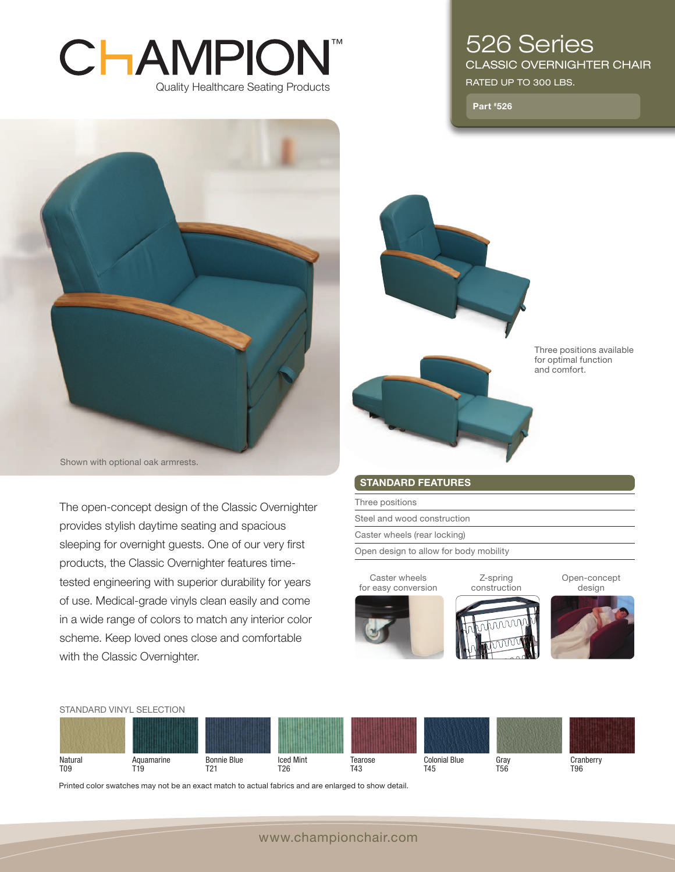# ™CHAMPION Quality Healthcare Seating Products



Shown with optional oak armrests.

The open-concept design of the Classic Overnighter provides stylish daytime seating and spacious sleeping for overnight guests. One of our very first products, the Classic Overnighter features timetested engineering with superior durability for years of use. Medical-grade vinyls clean easily and come in a wide range of colors to match any interior color scheme. Keep loved ones close and comfortable with the Classic Overnighter.

## 526 Series classic overnighter chair

RATED UP TO 300 LBS.

Part #526



STANDARD FEATURES

Three positions Steel and wood construction Caster wheels (rear locking) Open design to allow for body mobility

Caster wheels

Z-spring construction Open-concept design







**Natural** T09 Aquamarine T19 Bonnie Blue T21 Iced Mint T26 Tearose T43 Colonial Blue T45 Gray T56 **Cranberry** T96 Standard vinyl selection

Printed color swatches may not be an exact match to actual fabrics and are enlarged to show detail.